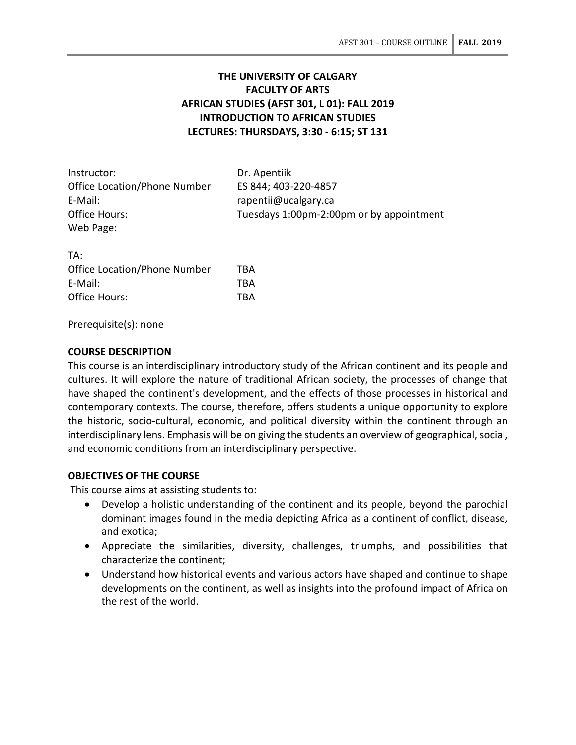# **THE UNIVERSITY OF CALGARY FACULTY OF ARTS AFRICAN STUDIES (AFST 301, L 01): FALL 2019 INTRODUCTION TO AFRICAN STUDIES LECTURES: THURSDAYS, 3:30 - 6:15; ST 131**

| Instructor:                         | Dr. Apentiik                             |
|-------------------------------------|------------------------------------------|
| <b>Office Location/Phone Number</b> | ES 844; 403-220-4857                     |
| E-Mail:                             | rapentii@ucalgary.ca                     |
| Office Hours:                       | Tuesdays 1:00pm-2:00pm or by appointment |
| Web Page:                           |                                          |

TA: Office Location/Phone Number TBA E-Mail: TBA Office Hours: TBA

Prerequisite(s): none

### **COURSE DESCRIPTION**

This course is an interdisciplinary introductory study of the African continent and its people and cultures. It will explore the nature of traditional African society, the processes of change that have shaped the continent's development, and the effects of those processes in historical and contemporary contexts. The course, therefore, offers students a unique opportunity to explore the historic, socio-cultural, economic, and political diversity within the continent through an interdisciplinary lens. Emphasis will be on giving the students an overview of geographical, social, and economic conditions from an interdisciplinary perspective.

## **OBJECTIVES OF THE COURSE**

This course aims at assisting students to:

- Develop a holistic understanding of the continent and its people, beyond the parochial dominant images found in the media depicting Africa as a continent of conflict, disease, and exotica;
- Appreciate the similarities, diversity, challenges, triumphs, and possibilities that characterize the continent;
- Understand how historical events and various actors have shaped and continue to shape developments on the continent, as well as insights into the profound impact of Africa on the rest of the world.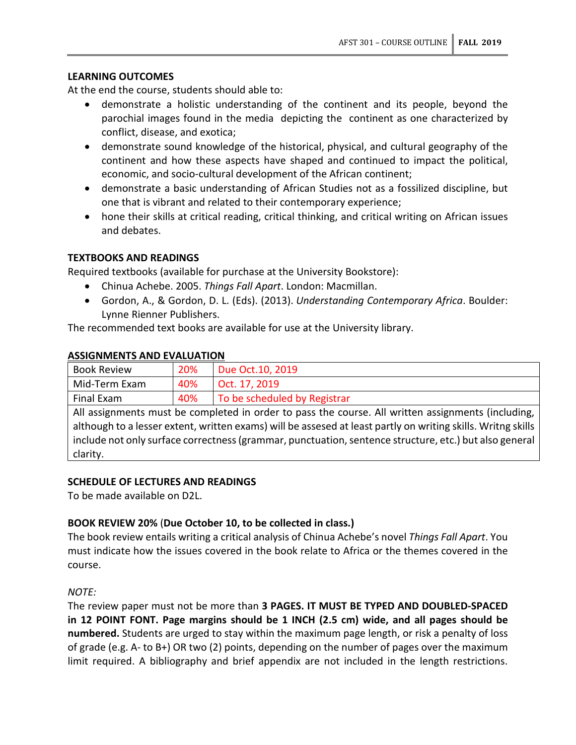### **LEARNING OUTCOMES**

At the end the course, students should able to:

- demonstrate a holistic understanding of the continent and its people, beyond the parochial images found in the media depicting the continent as one characterized by conflict, disease, and exotica;
- demonstrate sound knowledge of the historical, physical, and cultural geography of the continent and how these aspects have shaped and continued to impact the political, economic, and socio-cultural development of the African continent;
- demonstrate a basic understanding of African Studies not as a fossilized discipline, but one that is vibrant and related to their contemporary experience;
- hone their skills at critical reading, critical thinking, and critical writing on African issues and debates.

### **TEXTBOOKS AND READINGS**

**ASSIGNMENTS AND EVALUATION**

Required textbooks (available for purchase at the University Bookstore):

- Chinua Achebe. 2005. *Things Fall Apart*. London: Macmillan.
- Gordon, A., & Gordon, D. L. (Eds). (2013). *Understanding Contemporary Africa*. Boulder: Lynne Rienner Publishers.

The recommended text books are available for use at the University library.

| <b>Book Review</b>                                                                                                                                                                                                                                                                                                                       | 20% | Due Oct. 10, 2019            |
|------------------------------------------------------------------------------------------------------------------------------------------------------------------------------------------------------------------------------------------------------------------------------------------------------------------------------------------|-----|------------------------------|
| Mid-Term Exam                                                                                                                                                                                                                                                                                                                            | 40% | Oct. 17, 2019                |
| Final Exam                                                                                                                                                                                                                                                                                                                               | 40% | To be scheduled by Registrar |
| All assignments must be completed in order to pass the course. All written assignments (including,<br>although to a lesser extent, written exams) will be assesed at least partly on writing skills. Writng skills<br>include not only surface correctness (grammar, punctuation, sentence structure, etc.) but also general<br>clarity. |     |                              |

#### **SCHEDULE OF LECTURES AND READINGS**

To be made available on D2L.

## **BOOK REVIEW 20%** (**Due October 10, to be collected in class.)**

The book review entails writing a critical analysis of Chinua Achebe's novel *Things Fall Apart*. You must indicate how the issues covered in the book relate to Africa or the themes covered in the course.

#### *NOTE:*

The review paper must not be more than **3 PAGES. IT MUST BE TYPED AND DOUBLED-SPACED in 12 POINT FONT. Page margins should be 1 INCH (2.5 cm) wide, and all pages should be numbered.** Students are urged to stay within the maximum page length, or risk a penalty of loss of grade (e.g. A- to B+) OR two (2) points, depending on the number of pages over the maximum limit required. A bibliography and brief appendix are not included in the length restrictions.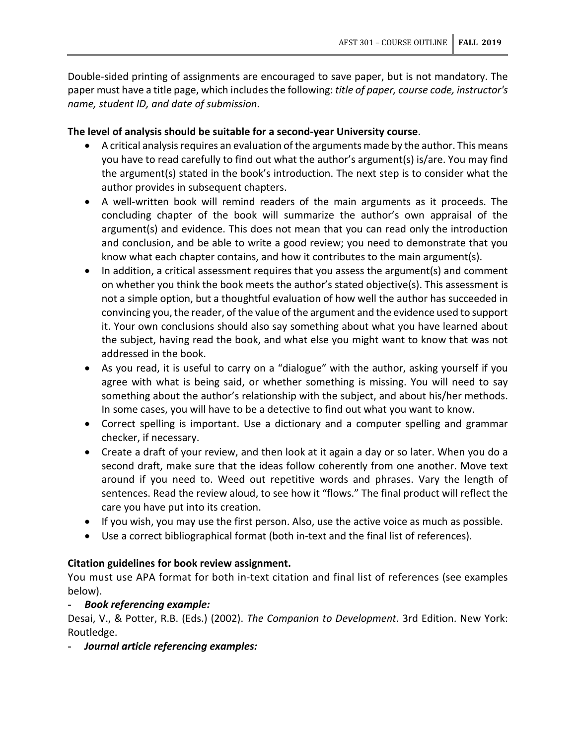Double-sided printing of assignments are encouraged to save paper, but is not mandatory. The paper must have a title page, which includesthe following: *title of paper, course code, instructor's name, student ID, and date of submission*.

# **The level of analysis should be suitable for a second-year University course**.

- A critical analysis requires an evaluation of the arguments made by the author. This means you have to read carefully to find out what the author's argument(s) is/are. You may find the argument(s) stated in the book's introduction. The next step is to consider what the author provides in subsequent chapters.
- A well-written book will remind readers of the main arguments as it proceeds. The concluding chapter of the book will summarize the author's own appraisal of the argument(s) and evidence. This does not mean that you can read only the introduction and conclusion, and be able to write a good review; you need to demonstrate that you know what each chapter contains, and how it contributes to the main argument(s).
- In addition, a critical assessment requires that you assess the argument(s) and comment on whether you think the book meets the author's stated objective(s). This assessment is not a simple option, but a thoughtful evaluation of how well the author has succeeded in convincing you, the reader, of the value of the argument and the evidence used to support it. Your own conclusions should also say something about what you have learned about the subject, having read the book, and what else you might want to know that was not addressed in the book.
- As you read, it is useful to carry on a "dialogue" with the author, asking yourself if you agree with what is being said, or whether something is missing. You will need to say something about the author's relationship with the subject, and about his/her methods. In some cases, you will have to be a detective to find out what you want to know.
- Correct spelling is important. Use a dictionary and a computer spelling and grammar checker, if necessary.
- Create a draft of your review, and then look at it again a day or so later. When you do a second draft, make sure that the ideas follow coherently from one another. Move text around if you need to. Weed out repetitive words and phrases. Vary the length of sentences. Read the review aloud, to see how it "flows." The final product will reflect the care you have put into its creation.
- If you wish, you may use the first person. Also, use the active voice as much as possible.
- Use a correct bibliographical format (both in-text and the final list of references).

# **Citation guidelines for book review assignment.**

You must use APA format for both in-text citation and final list of references (see examples below).

# **-** *Book referencing example:*

Desai, V., & Potter, R.B. (Eds.) (2002). *The Companion to Development*. 3rd Edition. New York: Routledge.

**-** *Journal article referencing examples:*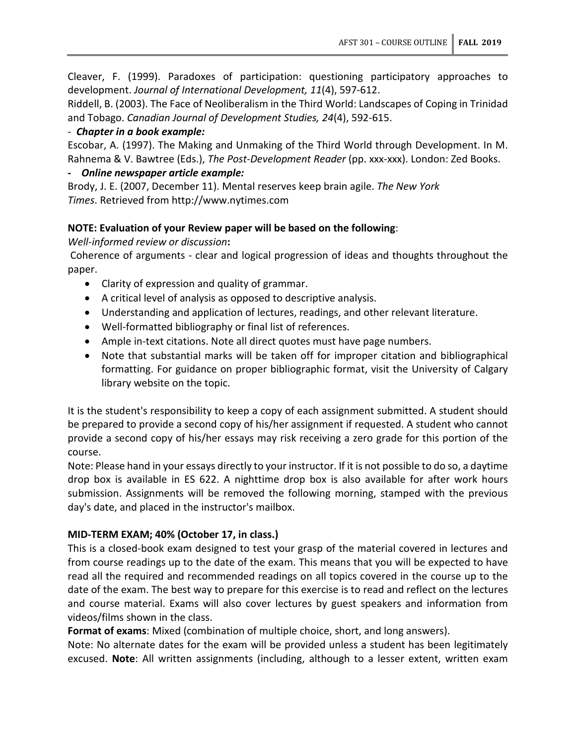Cleaver, F. (1999). Paradoxes of participation: questioning participatory approaches to development. *Journal of International Development, 11*(4), 597-612.

Riddell, B. (2003). The Face of Neoliberalism in the Third World: Landscapes of Coping in Trinidad and Tobago. *Canadian Journal of Development Studies, 24*(4), 592-615.

## - *Chapter in a book example:*

Escobar, A. (1997). The Making and Unmaking of the Third World through Development. In M. Rahnema & V. Bawtree (Eds.), *The Post-Development Reader* (pp. xxx-xxx). London: Zed Books.

# **-** *Online newspaper article example:*

Brody, J. E. (2007, December 11). Mental reserves keep brain agile. *The New York Times*. Retrieved from http://www.nytimes.com

# **NOTE: Evaluation of your Review paper will be based on the following**:

*Well-informed review or discussion***:**

Coherence of arguments - clear and logical progression of ideas and thoughts throughout the paper.

- Clarity of expression and quality of grammar.
- A critical level of analysis as opposed to descriptive analysis.
- Understanding and application of lectures, readings, and other relevant literature.
- Well-formatted bibliography or final list of references.
- Ample in-text citations. Note all direct quotes must have page numbers.
- Note that substantial marks will be taken off for improper citation and bibliographical formatting. For guidance on proper bibliographic format, visit the University of Calgary library website on the topic.

It is the student's responsibility to keep a copy of each assignment submitted. A student should be prepared to provide a second copy of his/her assignment if requested. A student who cannot provide a second copy of his/her essays may risk receiving a zero grade for this portion of the course.

Note: Please hand in your essays directly to your instructor. If it is not possible to do so, a daytime drop box is available in ES 622. A nighttime drop box is also available for after work hours submission. Assignments will be removed the following morning, stamped with the previous day's date, and placed in the instructor's mailbox.

# **MID-TERM EXAM; 40% (October 17, in class.)**

This is a closed-book exam designed to test your grasp of the material covered in lectures and from course readings up to the date of the exam. This means that you will be expected to have read all the required and recommended readings on all topics covered in the course up to the date of the exam. The best way to prepare for this exercise is to read and reflect on the lectures and course material. Exams will also cover lectures by guest speakers and information from videos/films shown in the class.

**Format of exams**: Mixed (combination of multiple choice, short, and long answers).

Note: No alternate dates for the exam will be provided unless a student has been legitimately excused. **Note**: All written assignments (including, although to a lesser extent, written exam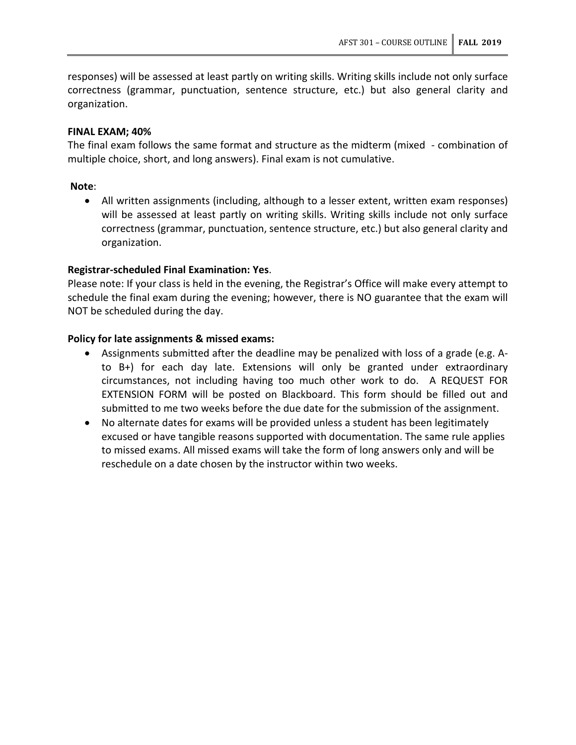responses) will be assessed at least partly on writing skills. Writing skills include not only surface correctness (grammar, punctuation, sentence structure, etc.) but also general clarity and organization.

### **FINAL EXAM; 40%**

The final exam follows the same format and structure as the midterm (mixed - combination of multiple choice, short, and long answers). Final exam is not cumulative.

### **Note**:

• All written assignments (including, although to a lesser extent, written exam responses) will be assessed at least partly on writing skills. Writing skills include not only surface correctness (grammar, punctuation, sentence structure, etc.) but also general clarity and organization.

### **Registrar-scheduled Final Examination: Yes**.

Please note: If your class is held in the evening, the Registrar's Office will make every attempt to schedule the final exam during the evening; however, there is NO guarantee that the exam will NOT be scheduled during the day.

### **Policy for late assignments & missed exams:**

- Assignments submitted after the deadline may be penalized with loss of a grade (e.g. Ato B+) for each day late. Extensions will only be granted under extraordinary circumstances, not including having too much other work to do. A REQUEST FOR EXTENSION FORM will be posted on Blackboard. This form should be filled out and submitted to me two weeks before the due date for the submission of the assignment.
- No alternate dates for exams will be provided unless a student has been legitimately excused or have tangible reasons supported with documentation. The same rule applies to missed exams. All missed exams will take the form of long answers only and will be reschedule on a date chosen by the instructor within two weeks.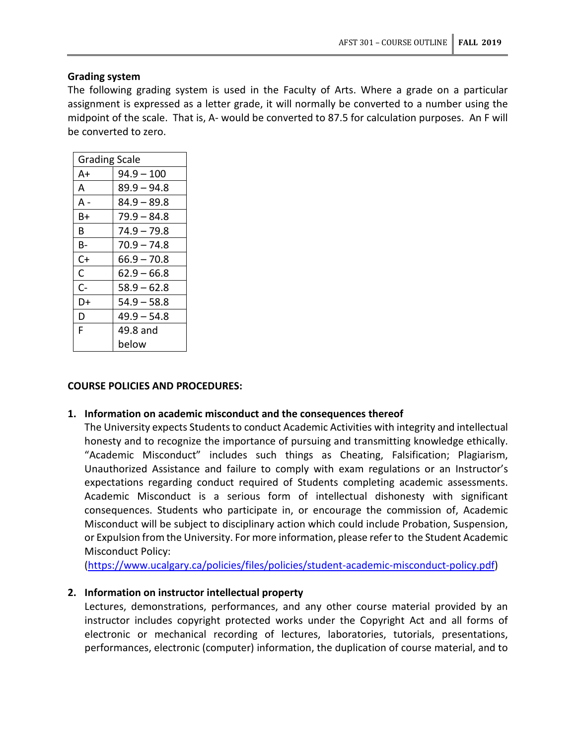## **Grading system**

The following grading system is used in the Faculty of Arts. Where a grade on a particular assignment is expressed as a letter grade, it will normally be converted to a number using the midpoint of the scale. That is, A- would be converted to 87.5 for calculation purposes. An F will be converted to zero.

| <b>Grading Scale</b> |               |
|----------------------|---------------|
| A+                   | $94.9 - 100$  |
| A                    | $89.9 - 94.8$ |
| А -                  | $84.9 - 89.8$ |
| B+                   | $79.9 - 84.8$ |
| в                    | $74.9 - 79.8$ |
| В-                   | $70.9 - 74.8$ |
| C+                   | $66.9 - 70.8$ |
| C                    | $62.9 - 66.8$ |
| C-                   | $58.9 - 62.8$ |
| D+                   | $54.9 - 58.8$ |
| D                    | $49.9 - 54.8$ |
| F                    | 49.8 and      |
|                      | below         |

## **COURSE POLICIES AND PROCEDURES:**

## **1. Information on academic misconduct and the consequences thereof**

The University expects Students to conduct Academic Activities with integrity and intellectual honesty and to recognize the importance of pursuing and transmitting knowledge ethically. "Academic Misconduct" includes such things as Cheating, Falsification; Plagiarism, Unauthorized Assistance and failure to comply with exam regulations or an Instructor's expectations regarding conduct required of Students completing academic assessments. Academic Misconduct is a serious form of intellectual dishonesty with significant consequences. Students who participate in, or encourage the commission of, Academic Misconduct will be subject to disciplinary action which could include Probation, Suspension, or Expulsion from the University. For more information, please refer to the Student Academic Misconduct Policy:

[\(https://www.ucalgary.ca/policies/files/policies/student-academic-misconduct-policy.pdf\)](https://www.ucalgary.ca/policies/files/policies/student-academic-misconduct-policy.pdf)

## **2. Information on instructor intellectual property**

Lectures, demonstrations, performances, and any other course material provided by an instructor includes copyright protected works under the Copyright Act and all forms of electronic or mechanical recording of lectures, laboratories, tutorials, presentations, performances, electronic (computer) information, the duplication of course material, and to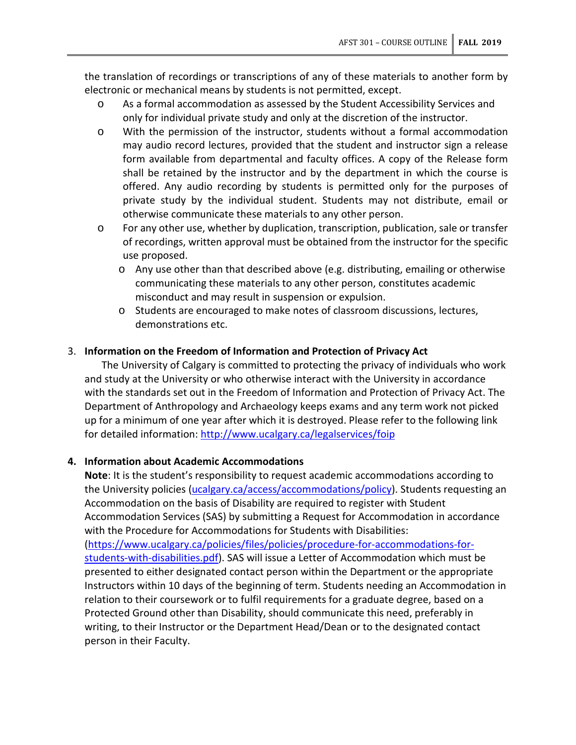the translation of recordings or transcriptions of any of these materials to another form by electronic or mechanical means by students is not permitted, except.

- o As a formal accommodation as assessed by the Student Accessibility Services and only for individual private study and only at the discretion of the instructor.
- o With the permission of the instructor, students without a formal accommodation may audio record lectures, provided that the student and instructor sign a release form available from departmental and faculty offices. A copy of the Release form shall be retained by the instructor and by the department in which the course is offered. Any audio recording by students is permitted only for the purposes of private study by the individual student. Students may not distribute, email or otherwise communicate these materials to any other person.
- o For any other use, whether by duplication, transcription, publication, sale or transfer of recordings, written approval must be obtained from the instructor for the specific use proposed.
	- o Any use other than that described above (e.g. distributing, emailing or otherwise communicating these materials to any other person, constitutes academic misconduct and may result in suspension or expulsion.
	- o Students are encouraged to make notes of classroom discussions, lectures, demonstrations etc.

### 3. **Information on the Freedom of Information and Protection of Privacy Act**

The University of Calgary is committed to protecting the privacy of individuals who work and study at the University or who otherwise interact with the University in accordance with the standards set out in the Freedom of Information and Protection of Privacy Act. The Department of Anthropology and Archaeology keeps exams and any term work not picked up for a minimum of one year after which it is destroyed. Please refer to the following link for detailed information:<http://www.ucalgary.ca/legalservices/foip>

#### **4. Information about Academic Accommodations**

**Note**: It is the student's responsibility to request academic accommodations according to the University policies [\(ucalgary.ca/access/accommodations/policy\)](https://ucalgary.ca/access/accommodations/policy). Students requesting an Accommodation on the basis of Disability are required to register with Student Accommodation Services (SAS) by submitting a Request for Accommodation in accordance with the Procedure for Accommodations for Students with Disabilities: [\(https://www.ucalgary.ca/policies/files/policies/procedure-for-accommodations-for](https://www.ucalgary.ca/policies/files/policies/procedure-for-accommodations-for-students-with-disabilities.pdf)[students-with-disabilities.pdf\)](https://www.ucalgary.ca/policies/files/policies/procedure-for-accommodations-for-students-with-disabilities.pdf). SAS will issue a Letter of Accommodation which must be presented to either designated contact person within the Department or the appropriate Instructors within 10 days of the beginning of term. Students needing an Accommodation in relation to their coursework or to fulfil requirements for a graduate degree, based on a Protected Ground other than Disability, should communicate this need, preferably in writing, to their Instructor or the Department Head/Dean or to the designated contact person in their Faculty.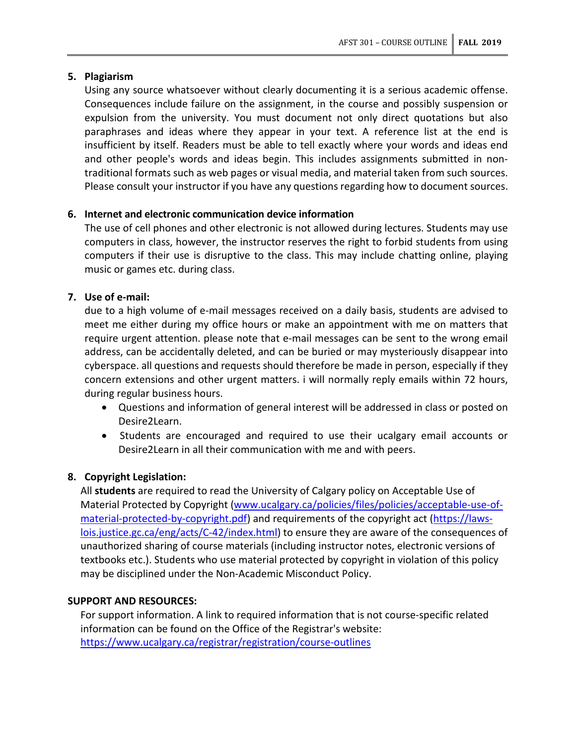# **5. Plagiarism**

Using any source whatsoever without clearly documenting it is a serious academic offense. Consequences include failure on the assignment, in the course and possibly suspension or expulsion from the university. You must document not only direct quotations but also paraphrases and ideas where they appear in your text. A reference list at the end is insufficient by itself. Readers must be able to tell exactly where your words and ideas end and other people's words and ideas begin. This includes assignments submitted in nontraditional formats such as web pages or visual media, and material taken from such sources. Please consult your instructor if you have any questions regarding how to document sources.

# **6. Internet and electronic communication device information**

The use of cell phones and other electronic is not allowed during lectures. Students may use computers in class, however, the instructor reserves the right to forbid students from using computers if their use is disruptive to the class. This may include chatting online, playing music or games etc. during class.

# **7. Use of e-mail:**

due to a high volume of e-mail messages received on a daily basis, students are advised to meet me either during my office hours or make an appointment with me on matters that require urgent attention. please note that e-mail messages can be sent to the wrong email address, can be accidentally deleted, and can be buried or may mysteriously disappear into cyberspace. all questions and requests should therefore be made in person, especially if they concern extensions and other urgent matters. i will normally reply emails within 72 hours, during regular business hours.

- Questions and information of general interest will be addressed in class or posted on Desire2Learn.
- Students are encouraged and required to use their ucalgary email accounts or Desire2Learn in all their communication with me and with peers.

# **8. Copyright Legislation:**

All **students** are required to read the University of Calgary policy on Acceptable Use of Material Protected by Copyright [\(www.ucalgary.ca/policies/files/policies/acceptable-use-of](http://www.ucalgary.ca/policies/files/policies/acceptable-use-of-material-protected-by-copyright.pdf)[material-protected-by-copyright.pdf\)](http://www.ucalgary.ca/policies/files/policies/acceptable-use-of-material-protected-by-copyright.pdf) and requirements of the copyright act [\(https://laws](https://laws-lois.justice.gc.ca/eng/acts/C-42/index.html)[lois.justice.gc.ca/eng/acts/C-42/index.html\)](https://laws-lois.justice.gc.ca/eng/acts/C-42/index.html) to ensure they are aware of the consequences of unauthorized sharing of course materials (including instructor notes, electronic versions of textbooks etc.). Students who use material protected by copyright in violation of this policy may be disciplined under the Non-Academic Misconduct Policy.

## **SUPPORT AND RESOURCES:**

For support information. A link to required information that is not course-specific related information can be found on the Office of the Registrar's website: <https://www.ucalgary.ca/registrar/registration/course-outlines>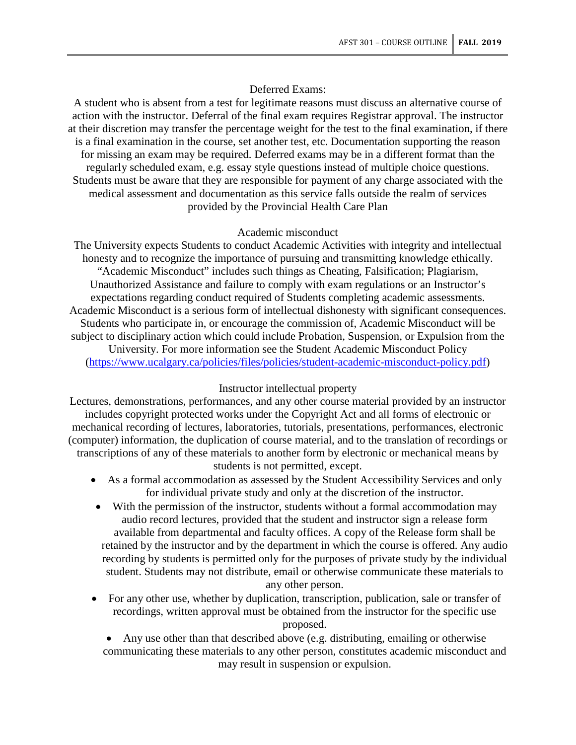#### Deferred Exams:

A student who is absent from a test for legitimate reasons must discuss an alternative course of action with the instructor. Deferral of the final exam requires Registrar approval. The instructor at their discretion may transfer the percentage weight for the test to the final examination, if there is a final examination in the course, set another test, etc. Documentation supporting the reason for missing an exam may be required. Deferred exams may be in a different format than the regularly scheduled exam, e.g. essay style questions instead of multiple choice questions. Students must be aware that they are responsible for payment of any charge associated with the medical assessment and documentation as this service falls outside the realm of services provided by the Provincial Health Care Plan

#### Academic misconduct

The University expects Students to conduct Academic Activities with integrity and intellectual honesty and to recognize the importance of pursuing and transmitting knowledge ethically. "Academic Misconduct" includes such things as Cheating, Falsification; Plagiarism, Unauthorized Assistance and failure to comply with exam regulations or an Instructor's expectations regarding conduct required of Students completing academic assessments. Academic Misconduct is a serious form of intellectual dishonesty with significant consequences. Students who participate in, or encourage the commission of, Academic Misconduct will be subject to disciplinary action which could include Probation, Suspension, or Expulsion from the University. For more information see the Student Academic Misconduct Policy [\(https://www.ucalgary.ca/policies/files/policies/student-academic-misconduct-policy.pdf\)](https://www.ucalgary.ca/policies/files/policies/student-academic-misconduct-policy.pdf)

#### Instructor intellectual property

Lectures, demonstrations, performances, and any other course material provided by an instructor includes copyright protected works under the Copyright Act and all forms of electronic or mechanical recording of lectures, laboratories, tutorials, presentations, performances, electronic (computer) information, the duplication of course material, and to the translation of recordings or transcriptions of any of these materials to another form by electronic or mechanical means by students is not permitted, except.

- As a formal accommodation as assessed by the Student Accessibility Services and only for individual private study and only at the discretion of the instructor.
- With the permission of the instructor, students without a formal accommodation may audio record lectures, provided that the student and instructor sign a release form available from departmental and faculty offices. A copy of the Release form shall be retained by the instructor and by the department in which the course is offered. Any audio recording by students is permitted only for the purposes of private study by the individual student. Students may not distribute, email or otherwise communicate these materials to any other person.
- For any other use, whether by duplication, transcription, publication, sale or transfer of recordings, written approval must be obtained from the instructor for the specific use proposed.
	- Any use other than that described above (e.g. distributing, emailing or otherwise communicating these materials to any other person, constitutes academic misconduct and may result in suspension or expulsion.